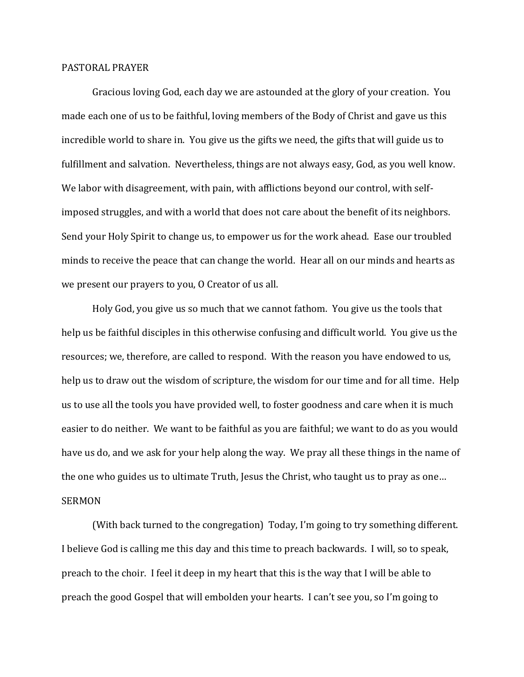## PASTORAL PRAYER

Gracious loving God, each day we are astounded at the glory of your creation. You made each one of us to be faithful, loving members of the Body of Christ and gave us this incredible world to share in. You give us the gifts we need, the gifts that will guide us to fulfillment and salvation. Nevertheless, things are not always easy, God, as you well know. We labor with disagreement, with pain, with afflictions beyond our control, with selfimposed struggles, and with a world that does not care about the benefit of its neighbors. Send your Holy Spirit to change us, to empower us for the work ahead. Ease our troubled minds to receive the peace that can change the world. Hear all on our minds and hearts as we present our prayers to you, O Creator of us all.

Holy God, you give us so much that we cannot fathom. You give us the tools that help us be faithful disciples in this otherwise confusing and difficult world. You give us the resources; we, therefore, are called to respond. With the reason you have endowed to us, help us to draw out the wisdom of scripture, the wisdom for our time and for all time. Help us to use all the tools you have provided well, to foster goodness and care when it is much easier to do neither. We want to be faithful as you are faithful; we want to do as you would have us do, and we ask for your help along the way. We pray all these things in the name of the one who guides us to ultimate Truth, Jesus the Christ, who taught us to pray as one… SERMON

(With back turned to the congregation) Today, I'm going to try something different. I believe God is calling me this day and this time to preach backwards. I will, so to speak, preach to the choir. I feel it deep in my heart that this is the way that I will be able to preach the good Gospel that will embolden your hearts. I can't see you, so I'm going to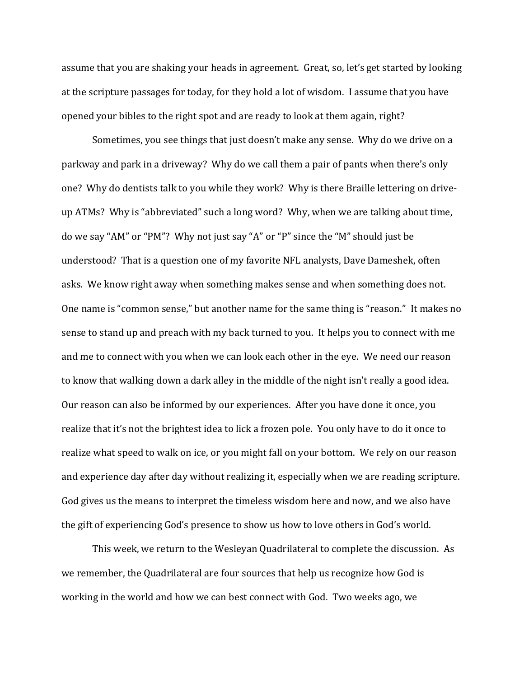assume that you are shaking your heads in agreement. Great, so, let's get started by looking at the scripture passages for today, for they hold a lot of wisdom. I assume that you have opened your bibles to the right spot and are ready to look at them again, right?

Sometimes, you see things that just doesn't make any sense. Why do we drive on a parkway and park in a driveway? Why do we call them a pair of pants when there's only one? Why do dentists talk to you while they work? Why is there Braille lettering on driveup ATMs? Why is "abbreviated" such a long word? Why, when we are talking about time, do we say "AM" or "PM"? Why not just say "A" or "P" since the "M" should just be understood? That is a question one of my favorite NFL analysts, Dave Dameshek, often asks. We know right away when something makes sense and when something does not. One name is "common sense," but another name for the same thing is "reason." It makes no sense to stand up and preach with my back turned to you. It helps you to connect with me and me to connect with you when we can look each other in the eye. We need our reason to know that walking down a dark alley in the middle of the night isn't really a good idea. Our reason can also be informed by our experiences. After you have done it once, you realize that it's not the brightest idea to lick a frozen pole. You only have to do it once to realize what speed to walk on ice, or you might fall on your bottom. We rely on our reason and experience day after day without realizing it, especially when we are reading scripture. God gives us the means to interpret the timeless wisdom here and now, and we also have the gift of experiencing God's presence to show us how to love others in God's world.

This week, we return to the Wesleyan Quadrilateral to complete the discussion. As we remember, the Quadrilateral are four sources that help us recognize how God is working in the world and how we can best connect with God. Two weeks ago, we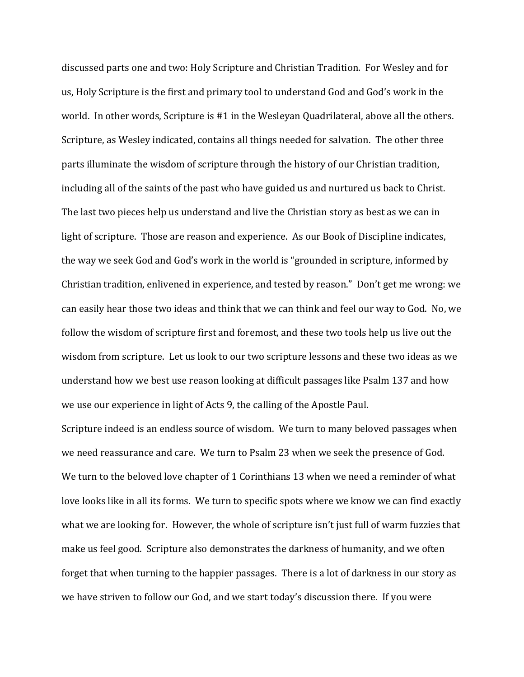discussed parts one and two: Holy Scripture and Christian Tradition. For Wesley and for us, Holy Scripture is the first and primary tool to understand God and God's work in the world. In other words, Scripture is #1 in the Wesleyan Quadrilateral, above all the others. Scripture, as Wesley indicated, contains all things needed for salvation. The other three parts illuminate the wisdom of scripture through the history of our Christian tradition, including all of the saints of the past who have guided us and nurtured us back to Christ. The last two pieces help us understand and live the Christian story as best as we can in light of scripture. Those are reason and experience. As our Book of Discipline indicates, the way we seek God and God's work in the world is "grounded in scripture, informed by Christian tradition, enlivened in experience, and tested by reason." Don't get me wrong: we can easily hear those two ideas and think that we can think and feel our way to God. No, we follow the wisdom of scripture first and foremost, and these two tools help us live out the wisdom from scripture. Let us look to our two scripture lessons and these two ideas as we understand how we best use reason looking at difficult passages like Psalm 137 and how we use our experience in light of Acts 9, the calling of the Apostle Paul.

Scripture indeed is an endless source of wisdom. We turn to many beloved passages when we need reassurance and care. We turn to Psalm 23 when we seek the presence of God. We turn to the beloved love chapter of 1 Corinthians 13 when we need a reminder of what love looks like in all its forms. We turn to specific spots where we know we can find exactly what we are looking for. However, the whole of scripture isn't just full of warm fuzzies that make us feel good. Scripture also demonstrates the darkness of humanity, and we often forget that when turning to the happier passages. There is a lot of darkness in our story as we have striven to follow our God, and we start today's discussion there. If you were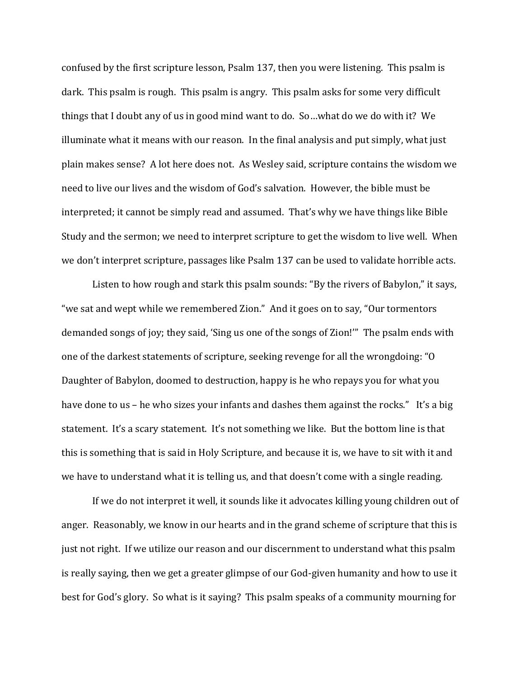confused by the first scripture lesson, Psalm 137, then you were listening. This psalm is dark. This psalm is rough. This psalm is angry. This psalm asks for some very difficult things that I doubt any of us in good mind want to do. So…what do we do with it? We illuminate what it means with our reason. In the final analysis and put simply, what just plain makes sense? A lot here does not. As Wesley said, scripture contains the wisdom we need to live our lives and the wisdom of God's salvation. However, the bible must be interpreted; it cannot be simply read and assumed. That's why we have things like Bible Study and the sermon; we need to interpret scripture to get the wisdom to live well. When we don't interpret scripture, passages like Psalm 137 can be used to validate horrible acts.

Listen to how rough and stark this psalm sounds: "By the rivers of Babylon," it says, "we sat and wept while we remembered Zion." And it goes on to say, "Our tormentors demanded songs of joy; they said, 'Sing us one of the songs of Zion!'" The psalm ends with one of the darkest statements of scripture, seeking revenge for all the wrongdoing: "O Daughter of Babylon, doomed to destruction, happy is he who repays you for what you have done to us – he who sizes your infants and dashes them against the rocks." It's a big statement. It's a scary statement. It's not something we like. But the bottom line is that this is something that is said in Holy Scripture, and because it is, we have to sit with it and we have to understand what it is telling us, and that doesn't come with a single reading.

If we do not interpret it well, it sounds like it advocates killing young children out of anger. Reasonably, we know in our hearts and in the grand scheme of scripture that this is just not right. If we utilize our reason and our discernment to understand what this psalm is really saying, then we get a greater glimpse of our God-given humanity and how to use it best for God's glory. So what is it saying? This psalm speaks of a community mourning for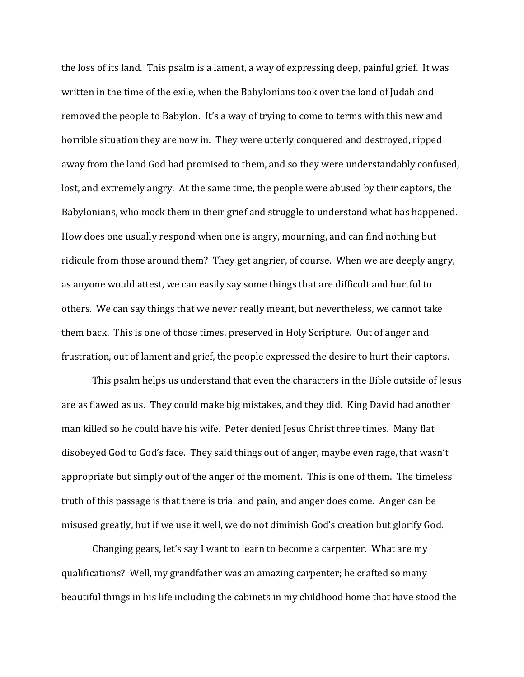the loss of its land. This psalm is a lament, a way of expressing deep, painful grief. It was written in the time of the exile, when the Babylonians took over the land of Judah and removed the people to Babylon. It's a way of trying to come to terms with this new and horrible situation they are now in. They were utterly conquered and destroyed, ripped away from the land God had promised to them, and so they were understandably confused, lost, and extremely angry. At the same time, the people were abused by their captors, the Babylonians, who mock them in their grief and struggle to understand what has happened. How does one usually respond when one is angry, mourning, and can find nothing but ridicule from those around them? They get angrier, of course. When we are deeply angry, as anyone would attest, we can easily say some things that are difficult and hurtful to others. We can say things that we never really meant, but nevertheless, we cannot take them back. This is one of those times, preserved in Holy Scripture. Out of anger and frustration, out of lament and grief, the people expressed the desire to hurt their captors.

This psalm helps us understand that even the characters in the Bible outside of Jesus are as flawed as us. They could make big mistakes, and they did. King David had another man killed so he could have his wife. Peter denied Jesus Christ three times. Many flat disobeyed God to God's face. They said things out of anger, maybe even rage, that wasn't appropriate but simply out of the anger of the moment. This is one of them. The timeless truth of this passage is that there is trial and pain, and anger does come. Anger can be misused greatly, but if we use it well, we do not diminish God's creation but glorify God.

Changing gears, let's say I want to learn to become a carpenter. What are my qualifications? Well, my grandfather was an amazing carpenter; he crafted so many beautiful things in his life including the cabinets in my childhood home that have stood the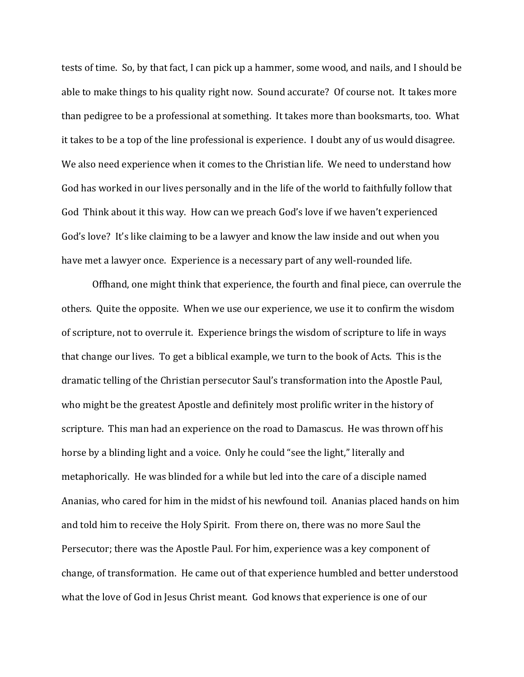tests of time. So, by that fact, I can pick up a hammer, some wood, and nails, and I should be able to make things to his quality right now. Sound accurate? Of course not. It takes more than pedigree to be a professional at something. It takes more than booksmarts, too. What it takes to be a top of the line professional is experience. I doubt any of us would disagree. We also need experience when it comes to the Christian life. We need to understand how God has worked in our lives personally and in the life of the world to faithfully follow that God Think about it this way. How can we preach God's love if we haven't experienced God's love? It's like claiming to be a lawyer and know the law inside and out when you have met a lawyer once. Experience is a necessary part of any well-rounded life.

Offhand, one might think that experience, the fourth and final piece, can overrule the others. Quite the opposite. When we use our experience, we use it to confirm the wisdom of scripture, not to overrule it. Experience brings the wisdom of scripture to life in ways that change our lives. To get a biblical example, we turn to the book of Acts. This is the dramatic telling of the Christian persecutor Saul's transformation into the Apostle Paul, who might be the greatest Apostle and definitely most prolific writer in the history of scripture. This man had an experience on the road to Damascus. He was thrown off his horse by a blinding light and a voice. Only he could "see the light," literally and metaphorically. He was blinded for a while but led into the care of a disciple named Ananias, who cared for him in the midst of his newfound toil. Ananias placed hands on him and told him to receive the Holy Spirit. From there on, there was no more Saul the Persecutor; there was the Apostle Paul. For him, experience was a key component of change, of transformation. He came out of that experience humbled and better understood what the love of God in Jesus Christ meant. God knows that experience is one of our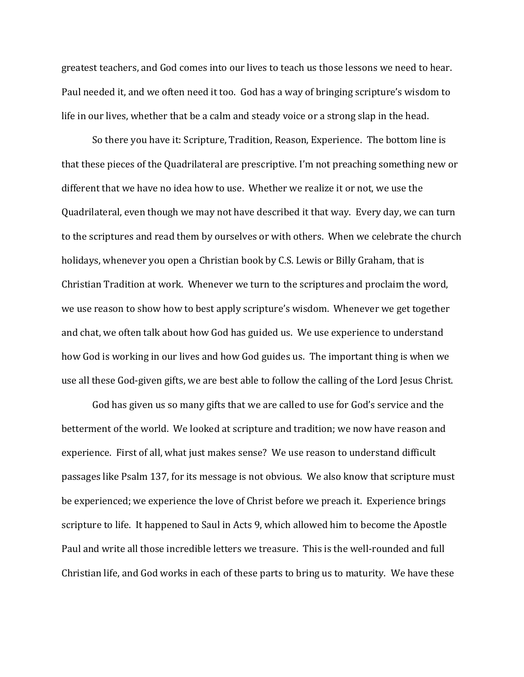greatest teachers, and God comes into our lives to teach us those lessons we need to hear. Paul needed it, and we often need it too. God has a way of bringing scripture's wisdom to life in our lives, whether that be a calm and steady voice or a strong slap in the head.

So there you have it: Scripture, Tradition, Reason, Experience. The bottom line is that these pieces of the Quadrilateral are prescriptive. I'm not preaching something new or different that we have no idea how to use. Whether we realize it or not, we use the Quadrilateral, even though we may not have described it that way. Every day, we can turn to the scriptures and read them by ourselves or with others. When we celebrate the church holidays, whenever you open a Christian book by C.S. Lewis or Billy Graham, that is Christian Tradition at work. Whenever we turn to the scriptures and proclaim the word, we use reason to show how to best apply scripture's wisdom. Whenever we get together and chat, we often talk about how God has guided us. We use experience to understand how God is working in our lives and how God guides us. The important thing is when we use all these God-given gifts, we are best able to follow the calling of the Lord Jesus Christ.

God has given us so many gifts that we are called to use for God's service and the betterment of the world. We looked at scripture and tradition; we now have reason and experience. First of all, what just makes sense? We use reason to understand difficult passages like Psalm 137, for its message is not obvious. We also know that scripture must be experienced; we experience the love of Christ before we preach it. Experience brings scripture to life. It happened to Saul in Acts 9, which allowed him to become the Apostle Paul and write all those incredible letters we treasure. This is the well-rounded and full Christian life, and God works in each of these parts to bring us to maturity. We have these